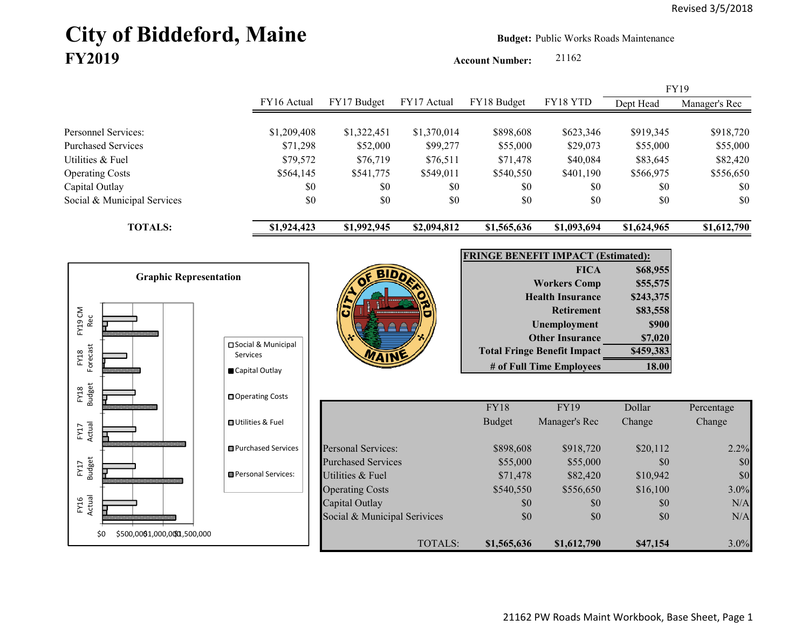# City of Biddeford, Maine **Budget:** Public Works Roads Maintenance **FY2019**

**Account Number:** 21162

FY16 Actual FY17 Budget FY17 Actual FY18 Budget FY18 YTD Dept Head Manager's Rec Personnel Services: \$1,209,408 \$1,322,451 \$1,370,014 \$898,608 \$623,346 \$919,345 \$918,720 Purchased Services 671,298 \$52,000 \$99,277 \$55,000 \$29,073 \$55,000 \$55,000 Utilities & Fuel \$79,572 \$76,719 \$76,511 \$71,478 \$40,084 \$83,645 \$82,420 Operating Costs \$564,145 \$541,775 \$549,011 \$540,550 \$401,190 \$566,975 \$556,650 Capital Outlay \$0 \$0 \$0 \$0 \$0 \$0 Social & Municipal Services \$0 \$0 \$0 \$0 \$0 \$0 \$0 **TOTALS: \$1,924,423 \$1,992,945 \$2,094,812 \$1,565,636 \$1,093,694 \$1,624,965 \$1,612,790** FY19

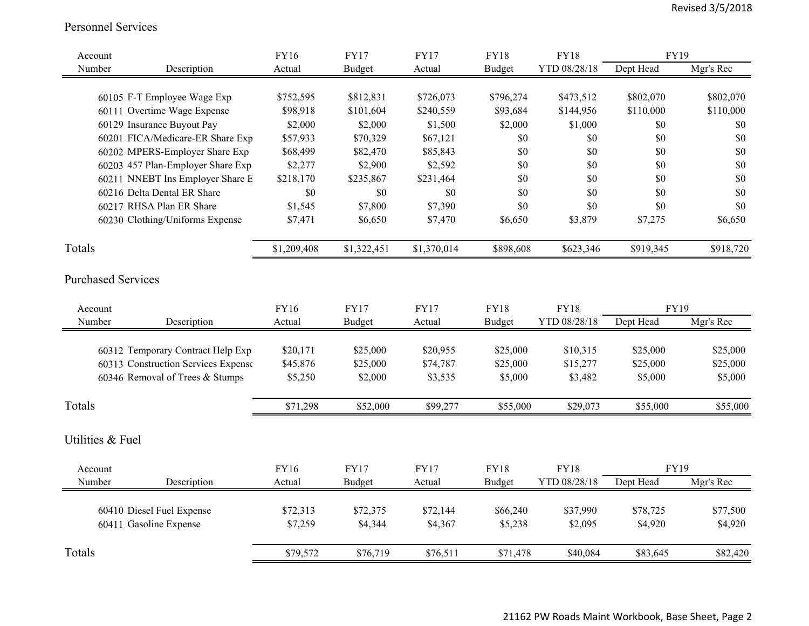#### Personnel Services

| Account                   |                                     | <b>FY16</b> | <b>FY17</b> | <b>FY17</b> | <b>FY18</b>   | <b>FY18</b>  | <b>FY19</b> |           |
|---------------------------|-------------------------------------|-------------|-------------|-------------|---------------|--------------|-------------|-----------|
| Number                    | Description                         | Actual      | Budget      | Actual      | <b>Budget</b> | YTD 08/28/18 | Dept Head   | Mgr's Rec |
|                           |                                     |             |             |             |               |              |             |           |
|                           | 60105 F-T Employee Wage Exp         | \$752,595   | \$812,831   | \$726,073   | \$796,274     | \$473,512    | \$802,070   | \$802,070 |
|                           | 60111 Overtime Wage Expense         | \$98,918    | \$101,604   | \$240,559   | \$93,684      | \$144,956    | \$110,000   | \$110,000 |
|                           | 60129 Insurance Buyout Pay          | \$2,000     | \$2,000     | \$1,500     | \$2,000       | \$1,000      | \$0         | \$0       |
|                           | 60201 FICA/Medicare-ER Share Exp    | \$57,933    | \$70,329    | \$67,121    | \$0           | \$0          | \$0         | \$0       |
|                           | 60202 MPERS-Employer Share Exp      | \$68,499    | \$82,470    | \$85,843    | \$0           | \$0          | \$0         | \$0       |
|                           | 60203 457 Plan-Employer Share Exp   | \$2,277     | \$2,900     | \$2,592     | \$0           | \$0          | \$0         | \$0       |
|                           | 60211 NNEBT Ins Employer Share E    | \$218,170   | \$235,867   | \$231,464   | \$0           | \$0          | \$0         | \$0       |
|                           | 60216 Delta Dental ER Share         | \$0         | \$0         | \$0         | \$0           | \$0          | \$0         | \$0       |
|                           | 60217 RHSA Plan ER Share            | \$1,545     | \$7,800     | \$7,390     | \$0           | \$0          | \$0         | \$0       |
|                           | 60230 Clothing/Uniforms Expense     | \$7,471     | \$6,650     | \$7,470     | \$6,650       | \$3,879      | \$7,275     | \$6,650   |
| Totals                    |                                     | \$1,209,408 | \$1,322,451 | \$1,370,014 | \$898,608     | \$623,346    | \$919,345   | \$918,720 |
| <b>Purchased Services</b> |                                     |             |             |             |               |              |             |           |
| Account                   |                                     | <b>FY16</b> | <b>FY17</b> | <b>FY17</b> | <b>FY18</b>   | <b>FY18</b>  | <b>FY19</b> |           |
| Number                    | Description                         | Actual      | Budget      | Actual      | <b>Budget</b> | YTD 08/28/18 | Dept Head   | Mgr's Rec |
|                           |                                     |             |             |             |               |              |             |           |
|                           | 60312 Temporary Contract Help Exp   | \$20,171    | \$25,000    | \$20,955    | \$25,000      | \$10,315     | \$25,000    | \$25,000  |
|                           | 60313 Construction Services Expense | \$45,876    | \$25,000    | \$74,787    | \$25,000      | \$15,277     | \$25,000    | \$25,000  |
|                           | 60346 Removal of Trees & Stumps     | \$5,250     | \$2,000     | \$3,535     | \$5,000       | \$3,482      | \$5,000     | \$5,000   |
| Totals                    |                                     | \$71,298    | \$52,000    | \$99,277    | \$55,000      | \$29,073     | \$55,000    | \$55,000  |
| Utilities & Fuel          |                                     |             |             |             |               |              |             |           |
| Account                   |                                     | <b>FY16</b> | <b>FY17</b> | <b>FY17</b> | <b>FY18</b>   | <b>FY18</b>  | <b>FY19</b> |           |
| Number                    | Description                         | Actual      | Budget      | Actual      | <b>Budget</b> | YTD 08/28/18 | Dept Head   | Mgr's Rec |
|                           | 60410 Diesel Fuel Expense           | \$72,313    | \$72,375    | \$72,144    | \$66,240      | \$37,990     | \$78,725    | \$77,500  |
|                           | 60411 Gasoline Expense              | \$7,259     | \$4,344     | \$4,367     | \$5,238       | \$2,095      | \$4,920     | \$4,920   |
| Totals                    |                                     | \$79,572    | \$76,719    | \$76,511    | \$71,478      | \$40,084     | \$83,645    | \$82,420  |
|                           |                                     |             |             |             |               |              |             |           |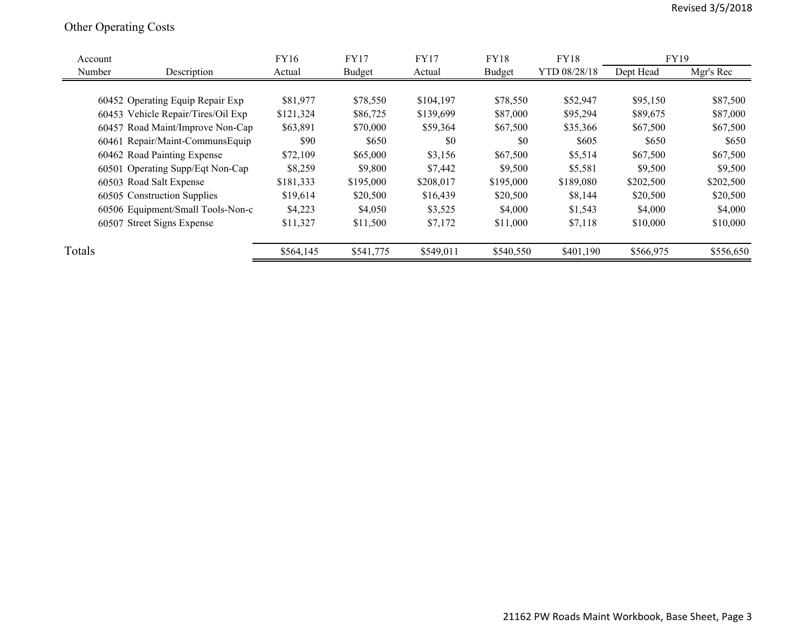## Other Operating Costs

| Account |                                    | <b>FY16</b> | <b>FY17</b> | <b>FY17</b> | <b>FY18</b> | <b>FY18</b>  | <b>FY19</b> |           |
|---------|------------------------------------|-------------|-------------|-------------|-------------|--------------|-------------|-----------|
| Number  | Description                        | Actual      | Budget      | Actual      | Budget      | YTD 08/28/18 | Dept Head   | Mgr's Rec |
|         |                                    |             |             |             |             |              |             |           |
|         | 60452 Operating Equip Repair Exp   | \$81,977    | \$78,550    | \$104,197   | \$78,550    | \$52,947     | \$95,150    | \$87,500  |
|         | 60453 Vehicle Repair/Tires/Oil Exp | \$121,324   | \$86,725    | \$139,699   | \$87,000    | \$95,294     | \$89,675    | \$87,000  |
|         | 60457 Road Maint/Improve Non-Cap   | \$63,891    | \$70,000    | \$59,364    | \$67,500    | \$35,366     | \$67,500    | \$67,500  |
|         | 60461 Repair/Maint-CommunsEquip    | \$90        | \$650       | \$0         | \$0         | \$605        | \$650       | \$650     |
|         | 60462 Road Painting Expense        | \$72,109    | \$65,000    | \$3,156     | \$67,500    | \$5,514      | \$67,500    | \$67,500  |
|         | 60501 Operating Supp/Eqt Non-Cap   | \$8,259     | \$9,800     | \$7,442     | \$9,500     | \$5,581      | \$9,500     | \$9,500   |
|         | 60503 Road Salt Expense            | \$181,333   | \$195,000   | \$208,017   | \$195,000   | \$189,080    | \$202,500   | \$202,500 |
|         | 60505 Construction Supplies        | \$19,614    | \$20,500    | \$16,439    | \$20,500    | \$8,144      | \$20,500    | \$20,500  |
|         | 60506 Equipment/Small Tools-Non-c  | \$4,223     | \$4,050     | \$3,525     | \$4,000     | \$1,543      | \$4,000     | \$4,000   |
|         | 60507 Street Signs Expense         | \$11,327    | \$11,500    | \$7,172     | \$11,000    | \$7,118      | \$10,000    | \$10,000  |
| Totals  |                                    | \$564,145   | \$541,775   | \$549,011   | \$540,550   | \$401,190    | \$566,975   | \$556,650 |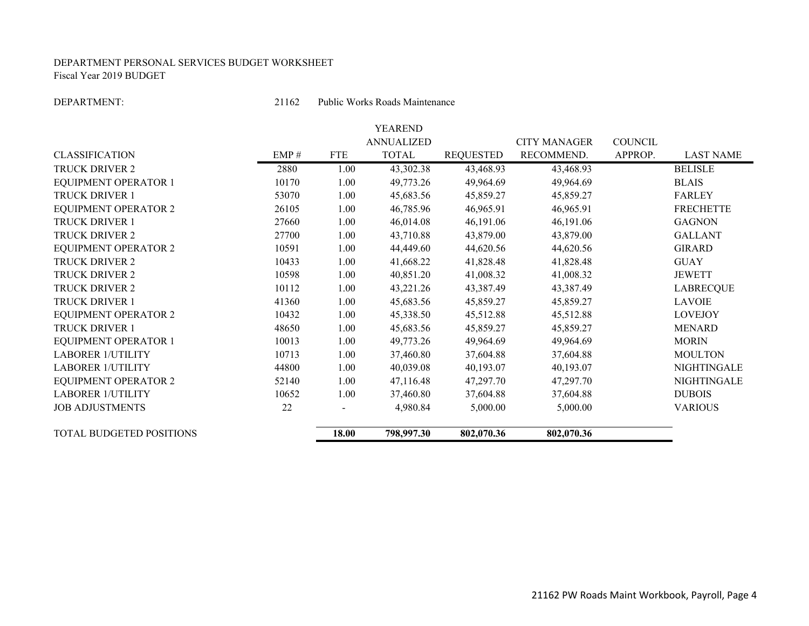#### DEPARTMENT PERSONAL SERVICES BUDGET WORKSHEET Fiscal Year 2019 BUDGET

DEPARTMENT:

21162 Public Works Roads Maintenance

|                             |       |            | YEAREND           |                  |                     |                |                  |
|-----------------------------|-------|------------|-------------------|------------------|---------------------|----------------|------------------|
|                             |       |            | <b>ANNUALIZED</b> |                  | <b>CITY MANAGER</b> | <b>COUNCIL</b> |                  |
| <b>CLASSIFICATION</b>       | EMP#  | <b>FTE</b> | <b>TOTAL</b>      | <b>REQUESTED</b> | RECOMMEND.          | APPROP.        | <b>LAST NAME</b> |
| <b>TRUCK DRIVER 2</b>       | 2880  | 1.00       | 43,302.38         | 43,468.93        | 43,468.93           |                | <b>BELISLE</b>   |
| <b>EQUIPMENT OPERATOR 1</b> | 10170 | 1.00       | 49,773.26         | 49,964.69        | 49,964.69           |                | <b>BLAIS</b>     |
| <b>TRUCK DRIVER 1</b>       | 53070 | 1.00       | 45,683.56         | 45,859.27        | 45,859.27           |                | <b>FARLEY</b>    |
| <b>EQUIPMENT OPERATOR 2</b> | 26105 | 1.00       | 46,785.96         | 46,965.91        | 46,965.91           |                | <b>FRECHETTE</b> |
| <b>TRUCK DRIVER 1</b>       | 27660 | 1.00       | 46,014.08         | 46,191.06        | 46,191.06           |                | <b>GAGNON</b>    |
| <b>TRUCK DRIVER 2</b>       | 27700 | 1.00       | 43,710.88         | 43,879.00        | 43,879.00           |                | <b>GALLANT</b>   |
| <b>EQUIPMENT OPERATOR 2</b> | 10591 | 1.00       | 44,449.60         | 44,620.56        | 44,620.56           |                | <b>GIRARD</b>    |
| TRUCK DRIVER 2              | 10433 | 1.00       | 41,668.22         | 41,828.48        | 41,828.48           |                | <b>GUAY</b>      |
| TRUCK DRIVER 2              | 10598 | 1.00       | 40,851.20         | 41,008.32        | 41,008.32           |                | <b>JEWETT</b>    |
| <b>TRUCK DRIVER 2</b>       | 10112 | 1.00       | 43,221.26         | 43,387.49        | 43,387.49           |                | <b>LABRECQUE</b> |
| <b>TRUCK DRIVER 1</b>       | 41360 | 1.00       | 45,683.56         | 45,859.27        | 45,859.27           |                | <b>LAVOIE</b>    |
| <b>EQUIPMENT OPERATOR 2</b> | 10432 | 1.00       | 45,338.50         | 45,512.88        | 45,512.88           |                | <b>LOVEJOY</b>   |
| TRUCK DRIVER 1              | 48650 | 1.00       | 45,683.56         | 45,859.27        | 45,859.27           |                | <b>MENARD</b>    |
| <b>EQUIPMENT OPERATOR 1</b> | 10013 | 1.00       | 49,773.26         | 49,964.69        | 49,964.69           |                | <b>MORIN</b>     |
| <b>LABORER 1/UTILITY</b>    | 10713 | 1.00       | 37,460.80         | 37,604.88        | 37,604.88           |                | <b>MOULTON</b>   |
| <b>LABORER 1/UTILITY</b>    | 44800 | 1.00       | 40,039.08         | 40,193.07        | 40,193.07           |                | NIGHTINGALE      |
| <b>EQUIPMENT OPERATOR 2</b> | 52140 | 1.00       | 47,116.48         | 47,297.70        | 47,297.70           |                | NIGHTINGALE      |
| <b>LABORER 1/UTILITY</b>    | 10652 | 1.00       | 37,460.80         | 37,604.88        | 37,604.88           |                | <b>DUBOIS</b>    |
| <b>JOB ADJUSTMENTS</b>      | 22    |            | 4,980.84          | 5,000.00         | 5,000.00            |                | <b>VARIOUS</b>   |
| TOTAL BUDGETED POSITIONS    |       | 18.00      | 798,997.30        | 802,070.36       | 802,070.36          |                |                  |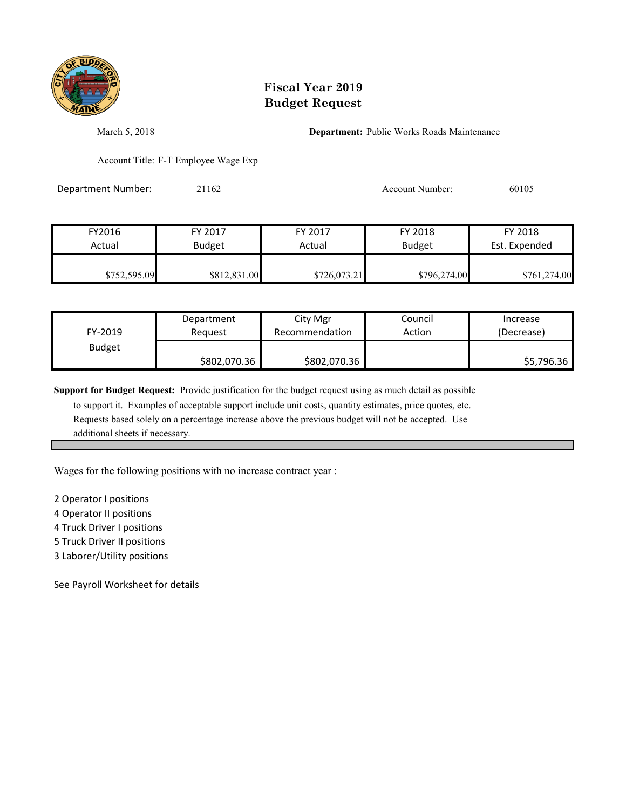

March 5, 2018 **Department:** Public Works Roads Maintenance

Account Title: F-T Employee Wage Exp

Department Number: 21162 Account Number: 60105

| FY2016       | FY 2017       | FY 2017      | FY 2018       | FY 2018       |
|--------------|---------------|--------------|---------------|---------------|
| Actual       | <b>Budget</b> | Actual       | <b>Budget</b> | Est. Expended |
| \$752,595.09 | \$812,831.00  | \$726,073.21 | \$796,274.00  | \$761,274.00  |

| FY-2019       | Department   | City Mgr       | Council | Increase   |
|---------------|--------------|----------------|---------|------------|
|               | Reguest      | Recommendation | Action  | (Decrease) |
| <b>Budget</b> | \$802,070.36 | \$802,070.36   |         | \$5,796.36 |

**Support for Budget Request:** Provide justification for the budget request using as much detail as possible

 to support it. Examples of acceptable support include unit costs, quantity estimates, price quotes, etc. Requests based solely on a percentage increase above the previous budget will not be accepted. Use additional sheets if necessary.

Wages for the following positions with no increase contract year :

2 Operator I positions

4 Operator II positions

4 Truck Driver I positions

5 Truck Driver II positions

3 Laborer/Utility positions

See Payroll Worksheet for details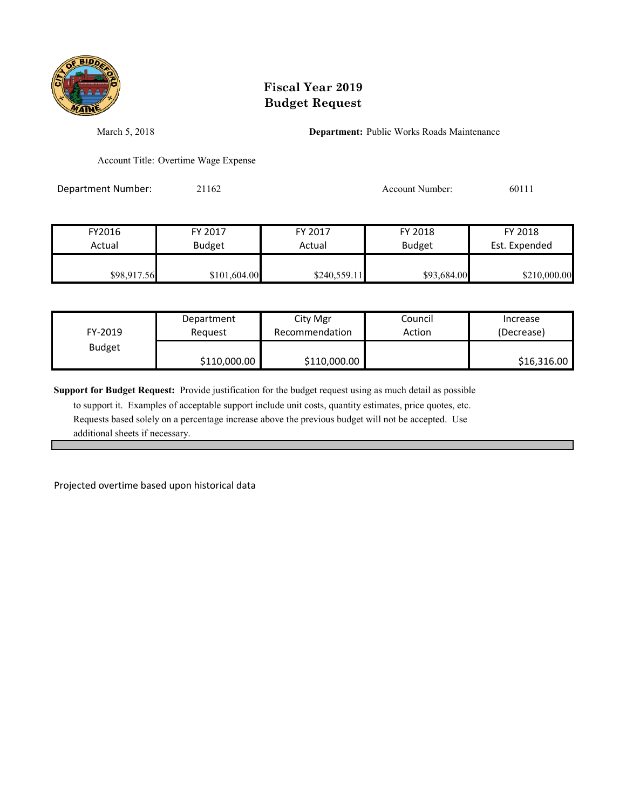

March 5, 2018 **Department:** Public Works Roads Maintenance

Account Title: Overtime Wage Expense

Department Number: 21162 2012 2012 Account Number: 60111

| FY2016      | FY 2017       | FY 2017      | FY 2018       | FY 2018       |
|-------------|---------------|--------------|---------------|---------------|
| Actual      | <b>Budget</b> | Actual       | <b>Budget</b> | Est. Expended |
| \$98,917.56 | \$101,604.00  | \$240,559.11 | \$93,684.00   | \$210,000.00  |

| FY-2019       | Department   | City Mgr       | Council | Increase    |
|---------------|--------------|----------------|---------|-------------|
|               | Reauest      | Recommendation | Action  | (Decrease)  |
| <b>Budget</b> | \$110,000.00 | \$110,000.00   |         | \$16,316.00 |

**Support for Budget Request:** Provide justification for the budget request using as much detail as possible

 to support it. Examples of acceptable support include unit costs, quantity estimates, price quotes, etc. Requests based solely on a percentage increase above the previous budget will not be accepted. Use additional sheets if necessary.

Projected overtime based upon historical data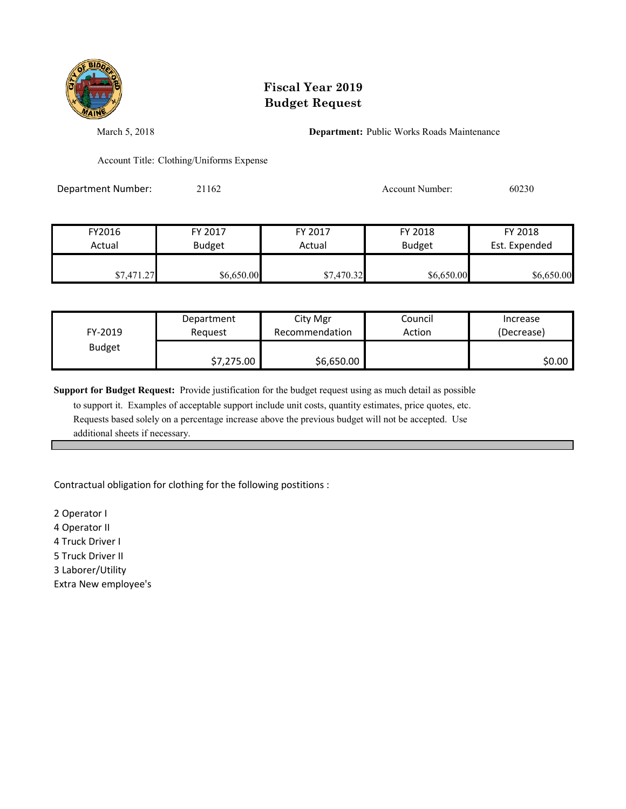

March 5, 2018 **Department:** Public Works Roads Maintenance

Account Title: Clothing/Uniforms Expense

Department Number: 21162 Account Number: 60230

| FY2016     | FY 2017       | FY 2017    | FY 2018       | FY 2018       |
|------------|---------------|------------|---------------|---------------|
| Actual     | <b>Budget</b> | Actual     | <b>Budget</b> | Est. Expended |
|            |               |            |               |               |
| \$7,471.27 | \$6,650.00    | \$7,470.32 | \$6,650.00    | \$6,650.00    |

| FY-2019       | Department | City Mgr       | Council | Increase   |
|---------------|------------|----------------|---------|------------|
|               | Request    | Recommendation | Action  | (Decrease) |
| <b>Budget</b> | \$7,275.00 | \$6,650.00     |         | \$0.00     |

**Support for Budget Request:** Provide justification for the budget request using as much detail as possible

 to support it. Examples of acceptable support include unit costs, quantity estimates, price quotes, etc. Requests based solely on a percentage increase above the previous budget will not be accepted. Use additional sheets if necessary.

Contractual obligation for clothing for the following postitions :

2 Operator I 4 Operator II 4 Truck Driver I 5 Truck Driver II 3 Laborer/Utility Extra New employee's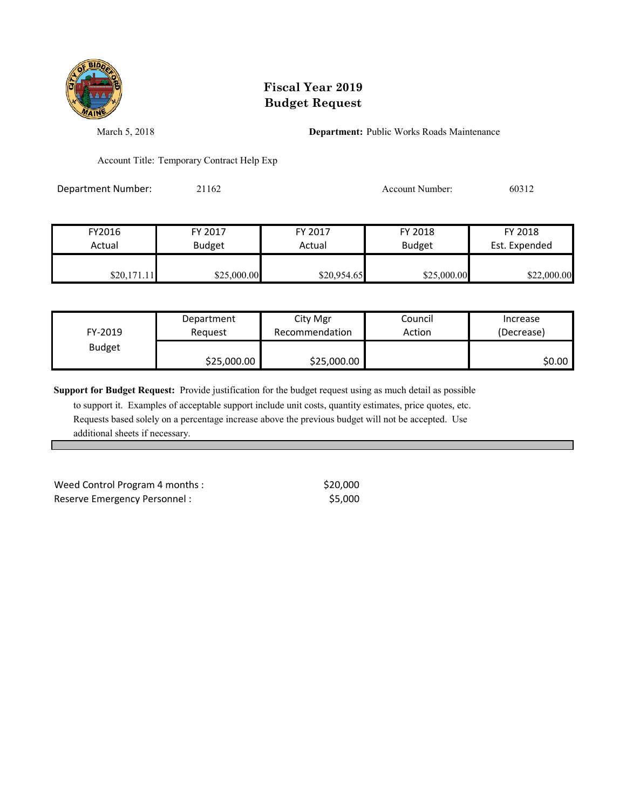

March 5, 2018 **Department:** Public Works Roads Maintenance

Account Title: Temporary Contract Help Exp

Department Number: 21162 200312 Account Number: 60312

| FY2016      | FY 2017       | FY 2017     | FY 2018       | FY 2018       |
|-------------|---------------|-------------|---------------|---------------|
| Actual      | <b>Budget</b> | Actual      | <b>Budget</b> | Est. Expended |
| \$20,171.11 | \$25,000.00   | \$20,954.65 | \$25,000.00   | \$22,000.00   |

| FY-2019       | Department  | City Mgr       | Council | Increase   |
|---------------|-------------|----------------|---------|------------|
|               | Reauest     | Recommendation | Action  | (Decrease) |
| <b>Budget</b> | \$25,000.00 | \$25,000.00    |         | \$0.00     |

**Support for Budget Request:** Provide justification for the budget request using as much detail as possible

 to support it. Examples of acceptable support include unit costs, quantity estimates, price quotes, etc. Requests based solely on a percentage increase above the previous budget will not be accepted. Use additional sheets if necessary.

Weed Control Program 4 months :  $$20,000$ Reserve Emergency Personnel :  $$5,000$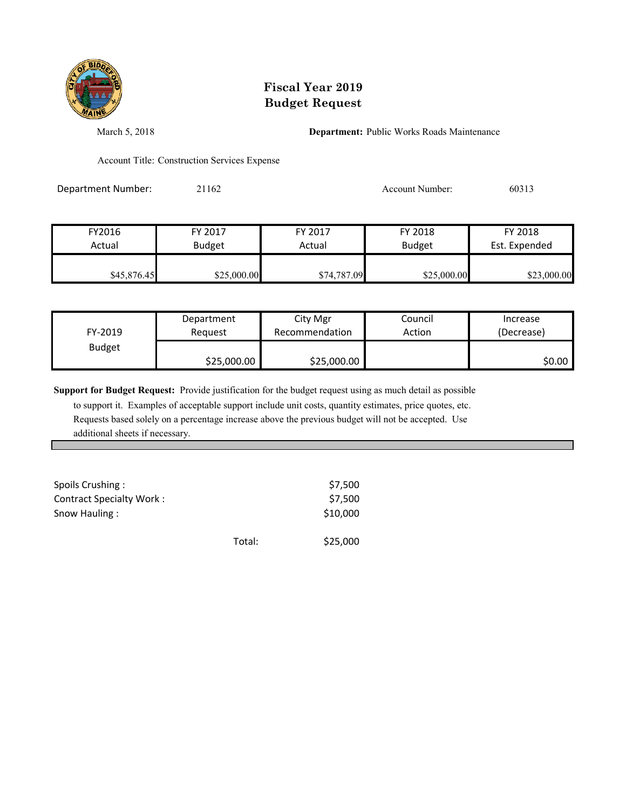

March 5, 2018 **Department:** Public Works Roads Maintenance

Account Title: Construction Services Expense

Department Number: 21162 2009 2010 2010 Account Number: 60313

| FY2016      | FY 2017       | FY 2017     | FY 2018       | FY 2018       |
|-------------|---------------|-------------|---------------|---------------|
| Actual      | <b>Budget</b> | Actual      | <b>Budget</b> | Est. Expended |
| \$45,876.45 | \$25,000.00   | \$74,787.09 | \$25,000.00   | \$23,000.00   |

| FY-2019       | Department  | City Mgr       | Council | Increase   |
|---------------|-------------|----------------|---------|------------|
|               | Reauest     | Recommendation | Action  | (Decrease) |
| <b>Budget</b> | \$25,000.00 | \$25,000.00    |         | \$0.00     |

**Support for Budget Request:** Provide justification for the budget request using as much detail as possible

 to support it. Examples of acceptable support include unit costs, quantity estimates, price quotes, etc. Requests based solely on a percentage increase above the previous budget will not be accepted. Use additional sheets if necessary.

| Spoils Crushing:<br><b>Contract Specialty Work:</b> |        | \$7,500<br>\$7,500 |
|-----------------------------------------------------|--------|--------------------|
| Snow Hauling:                                       |        | \$10,000           |
|                                                     | Total: | \$25,000           |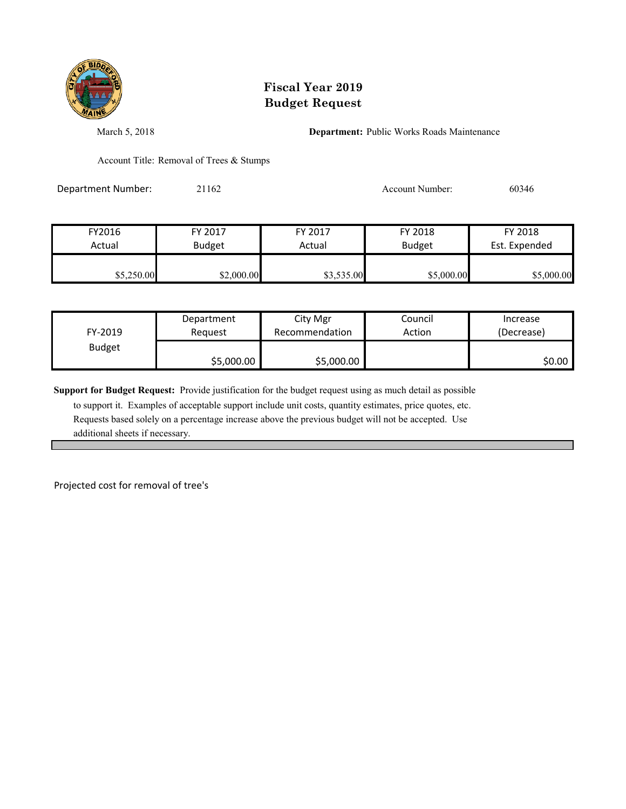

March 5, 2018 **Department:** Public Works Roads Maintenance

Account Title: Removal of Trees & Stumps

Department Number: 21162 200346

| FY2016     | FY 2017       | FY 2017    | FY 2018       | FY 2018       |
|------------|---------------|------------|---------------|---------------|
| Actual     | <b>Budget</b> | Actual     | <b>Budget</b> | Est. Expended |
| \$5,250.00 | \$2,000.00    | \$3,535.00 | \$5,000.00    | \$5,000.00    |

| FY-2019       | Department | City Mgr       | Council | Increase   |
|---------------|------------|----------------|---------|------------|
|               | Reauest    | Recommendation | Action  | (Decrease) |
| <b>Budget</b> | \$5,000.00 | \$5,000.00     |         | \$0.00     |

**Support for Budget Request:** Provide justification for the budget request using as much detail as possible

 to support it. Examples of acceptable support include unit costs, quantity estimates, price quotes, etc. Requests based solely on a percentage increase above the previous budget will not be accepted. Use additional sheets if necessary.

Projected cost for removal of tree's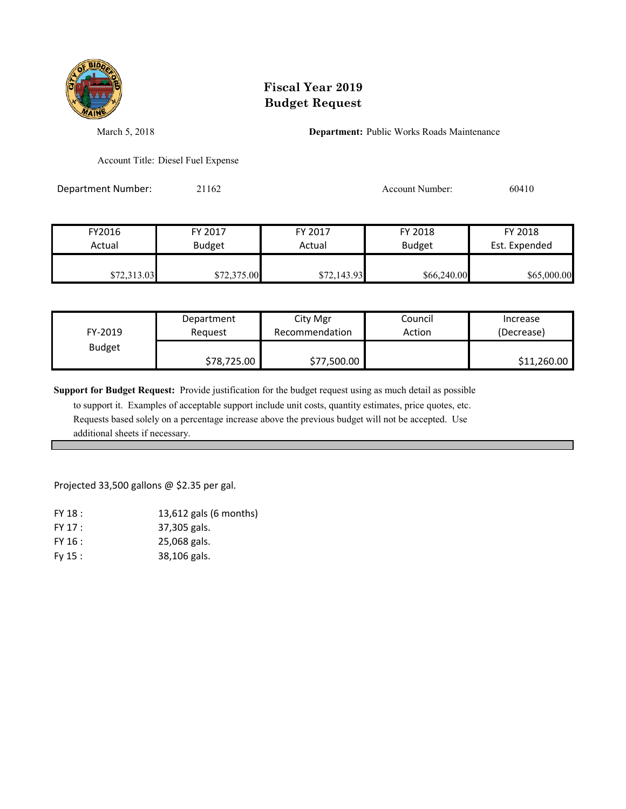

March 5, 2018 **Department:** Public Works Roads Maintenance

Account Title: Diesel Fuel Expense

Department Number: 21162 2010 2010 Account Number: 60410

| FY2016      | FY 2017       | FY 2017     | FY 2018       | FY 2018       |
|-------------|---------------|-------------|---------------|---------------|
| Actual      | <b>Budget</b> | Actual      | <b>Budget</b> | Est. Expended |
| \$72,313.03 | \$72,375.00   | \$72,143.93 | \$66,240.00   | \$65,000.00   |

| FY-2019       | Department  | City Mgr       | Council | Increase    |
|---------------|-------------|----------------|---------|-------------|
|               | Reauest     | Recommendation | Action  | (Decrease)  |
| <b>Budget</b> | \$78,725.00 | \$77,500.00    |         | \$11,260.00 |

**Support for Budget Request:** Provide justification for the budget request using as much detail as possible

 to support it. Examples of acceptable support include unit costs, quantity estimates, price quotes, etc. Requests based solely on a percentage increase above the previous budget will not be accepted. Use additional sheets if necessary.

Projected 33,500 gallons @ \$2.35 per gal.

| FY 18 : | 13,612 gals (6 months) |
|---------|------------------------|
| FY 17 : | 37,305 gals.           |
| FY 16:  | 25,068 gals.           |
| Fv 15:  | 38,106 gals.           |
|         |                        |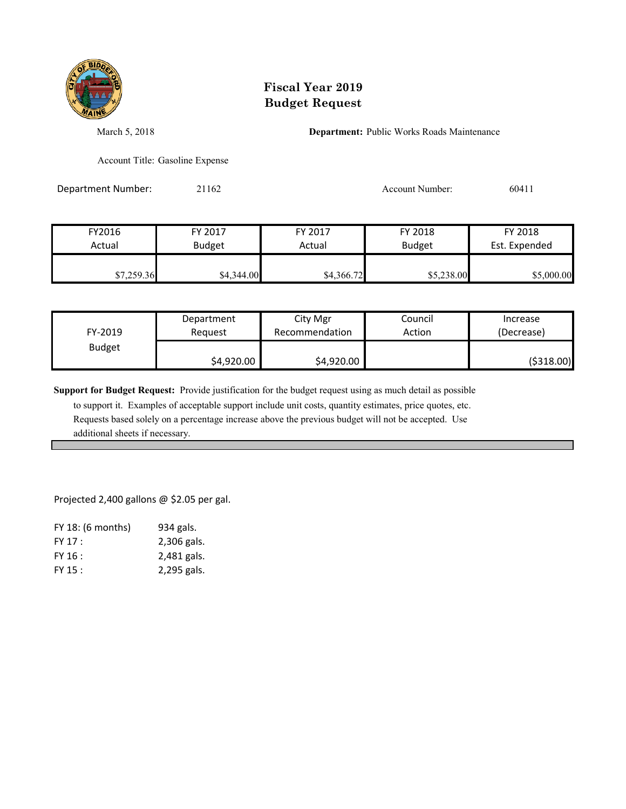

March 5, 2018 **Department:** Public Works Roads Maintenance

Account Title: Gasoline Expense

Department Number: 21162 2016 2017 Account Number: 60411

| FY2016     | FY 2017       | FY 2017    | FY 2018       | FY 2018       |
|------------|---------------|------------|---------------|---------------|
| Actual     | <b>Budget</b> | Actual     | <b>Budget</b> | Est. Expended |
| \$7,259.36 | \$4,344.00    | \$4,366.72 | \$5,238.00    | \$5,000.00    |

| FY-2019       | Department | City Mgr       | Council | Increase   |
|---------------|------------|----------------|---------|------------|
|               | Reauest    | Recommendation | Action  | (Decrease) |
| <b>Budget</b> | \$4,920.00 | \$4,920.00     |         | (\$318.00) |

**Support for Budget Request:** Provide justification for the budget request using as much detail as possible

 to support it. Examples of acceptable support include unit costs, quantity estimates, price quotes, etc. Requests based solely on a percentage increase above the previous budget will not be accepted. Use additional sheets if necessary.

Projected 2,400 gallons @ \$2.05 per gal.

| 934 gals.   |
|-------------|
| 2,306 gals. |
| 2,481 gals. |
| 2,295 gals. |
|             |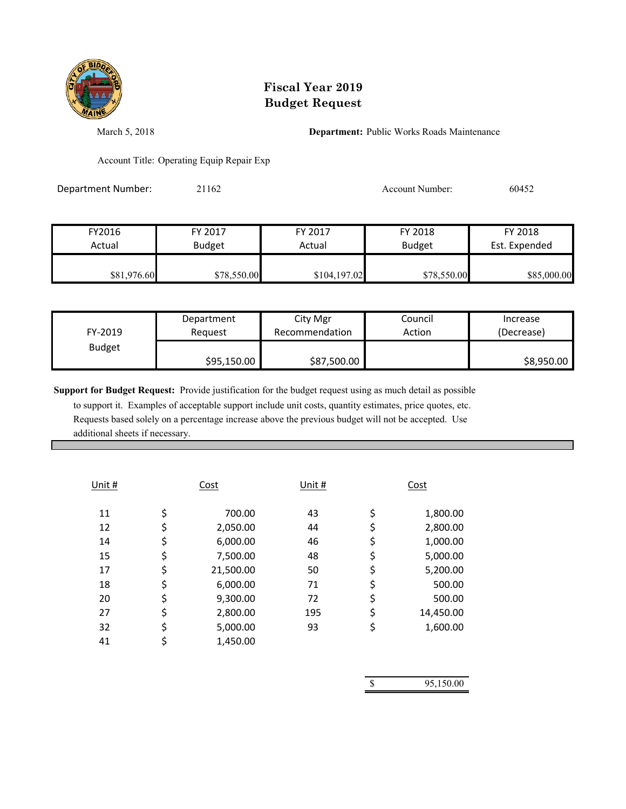

March 5, 2018 **Department:** Public Works Roads Maintenance

Account Title: Operating Equip Repair Exp

Department Number: 21162 2016 2017 Account Number: 60452

| FY2016      | FY 2017       | FY 2017      | FY 2018       | FY 2018       |
|-------------|---------------|--------------|---------------|---------------|
| Actual      | <b>Budget</b> | Actual       | <b>Budget</b> | Est. Expended |
| \$81,976.60 | \$78,550.00   | \$104,197.02 | \$78,550.00   | \$85,000.00   |

| FY-2019       | Department  | City Mgr       | Council | Increase   |
|---------------|-------------|----------------|---------|------------|
|               | Reauest     | Recommendation | Action  | (Decrease) |
| <b>Budget</b> | \$95,150.00 | \$87,500.00    |         | \$8,950.00 |

**Support for Budget Request:** Provide justification for the budget request using as much detail as possible to support it. Examples of acceptable support include unit costs, quantity estimates, price quotes, etc. Requests based solely on a percentage increase above the previous budget will not be accepted. Use

additional sheets if necessary.

| Unit # | Cost            | Unit # | Cost            |
|--------|-----------------|--------|-----------------|
| 11     | \$<br>700.00    | 43     | \$<br>1,800.00  |
| 12     | \$<br>2,050.00  | 44     | \$<br>2,800.00  |
| 14     | \$<br>6,000.00  | 46     | \$<br>1,000.00  |
| 15     | \$<br>7,500.00  | 48     | \$<br>5,000.00  |
| 17     | \$<br>21,500.00 | 50     | \$<br>5,200.00  |
| 18     | \$<br>6,000.00  | 71     | \$<br>500.00    |
| 20     | \$<br>9,300.00  | 72     | \$<br>500.00    |
| 27     | \$<br>2,800.00  | 195    | \$<br>14,450.00 |
| 32     | \$<br>5,000.00  | 93     | \$<br>1,600.00  |
| 41     | 1,450.00        |        |                 |
|        |                 |        |                 |

| <sup>\$</sup> | 95,150.00 |
|---------------|-----------|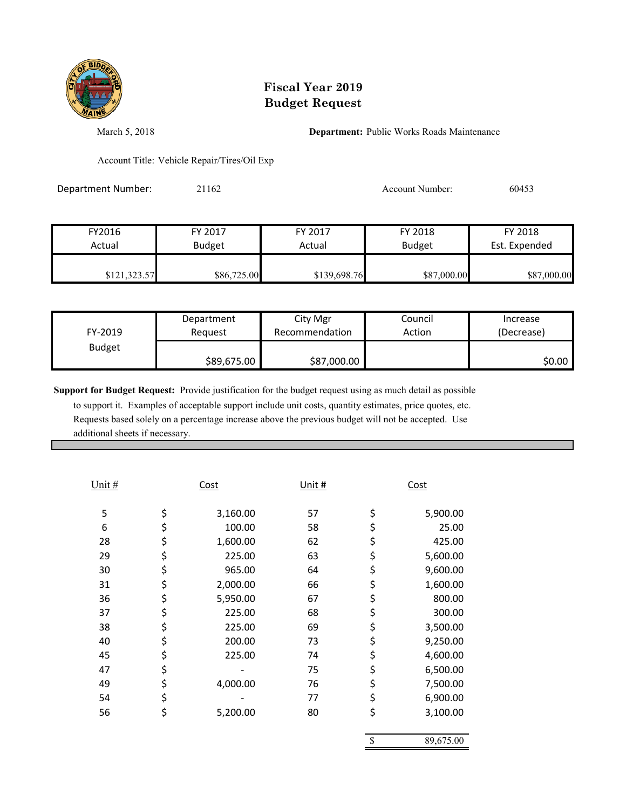

March 5, 2018 **Department:** Public Works Roads Maintenance

Account Title: Vehicle Repair/Tires/Oil Exp

Department Number: 21162 2016 2017 Account Number: 60453

| FY2016       | FY 2017       | FY 2017      | FY 2018       | FY 2018       |
|--------------|---------------|--------------|---------------|---------------|
| Actual       | <b>Budget</b> | Actual       | <b>Budget</b> | Est. Expended |
| \$121,323.57 | \$86,725.00   | \$139,698.76 | \$87,000.00   | \$87,000.00   |

| FY-2019       | Department  | City Mgr       | Council | Increase   |
|---------------|-------------|----------------|---------|------------|
|               | Reauest     | Recommendation | Action  | (Decrease) |
| <b>Budget</b> | \$89,675.00 | \$87,000.00    |         | \$0.00     |

**Support for Budget Request:** Provide justification for the budget request using as much detail as possible to support it. Examples of acceptable support include unit costs, quantity estimates, price quotes, etc. Requests based solely on a percentage increase above the previous budget will not be accepted. Use

additional sheets if necessary.

| Unit # | <u>Cost</u>    | Unit $#$ | Cost            |
|--------|----------------|----------|-----------------|
| 5      | \$<br>3,160.00 | 57       | \$<br>5,900.00  |
| 6      | \$<br>100.00   | 58       | \$<br>25.00     |
| 28     | \$<br>1,600.00 | 62       | \$<br>425.00    |
| 29     | \$<br>225.00   | 63       | \$<br>5,600.00  |
| 30     | \$<br>965.00   | 64       | \$<br>9,600.00  |
| 31     | \$<br>2,000.00 | 66       | \$<br>1,600.00  |
| 36     | \$<br>5,950.00 | 67       | \$<br>800.00    |
| 37     | \$<br>225.00   | 68       | \$<br>300.00    |
| 38     | \$<br>225.00   | 69       | \$<br>3,500.00  |
| 40     | \$<br>200.00   | 73       | \$<br>9,250.00  |
| 45     | \$<br>225.00   | 74       | \$<br>4,600.00  |
| 47     | \$             | 75       | \$<br>6,500.00  |
| 49     | \$<br>4,000.00 | 76       | \$<br>7,500.00  |
| 54     | \$             | 77       | \$<br>6,900.00  |
| 56     | \$<br>5,200.00 | 80       | \$<br>3,100.00  |
|        |                |          | \$<br>89,675.00 |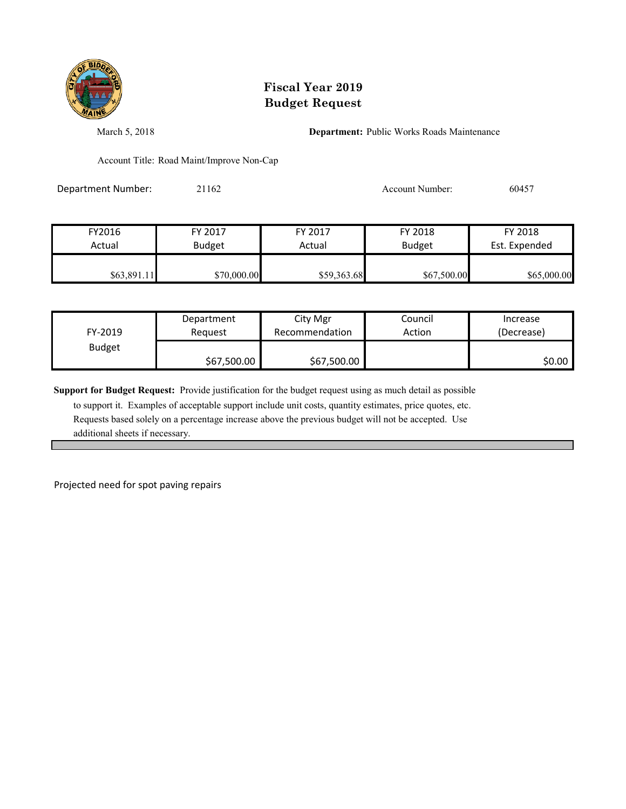

March 5, 2018 **Department:** Public Works Roads Maintenance

Account Title: Road Maint/Improve Non-Cap

Department Number: 21162 2016 2016 2017 Account Number: 60457

| FY2016      | FY 2017       | FY 2017     | FY 2018       | FY 2018       |
|-------------|---------------|-------------|---------------|---------------|
| Actual      | <b>Budget</b> | Actual      | <b>Budget</b> | Est. Expended |
| \$63,891.11 | \$70,000.00   | \$59,363.68 | \$67,500.00   | \$65,000.00   |

| FY-2019       | Department  | City Mgr       | Council | Increase   |
|---------------|-------------|----------------|---------|------------|
|               | Reauest     | Recommendation | Action  | (Decrease) |
| <b>Budget</b> | \$67,500.00 | \$67,500.00    |         | \$0.00     |

**Support for Budget Request:** Provide justification for the budget request using as much detail as possible

 to support it. Examples of acceptable support include unit costs, quantity estimates, price quotes, etc. Requests based solely on a percentage increase above the previous budget will not be accepted. Use additional sheets if necessary.

Projected need for spot paving repairs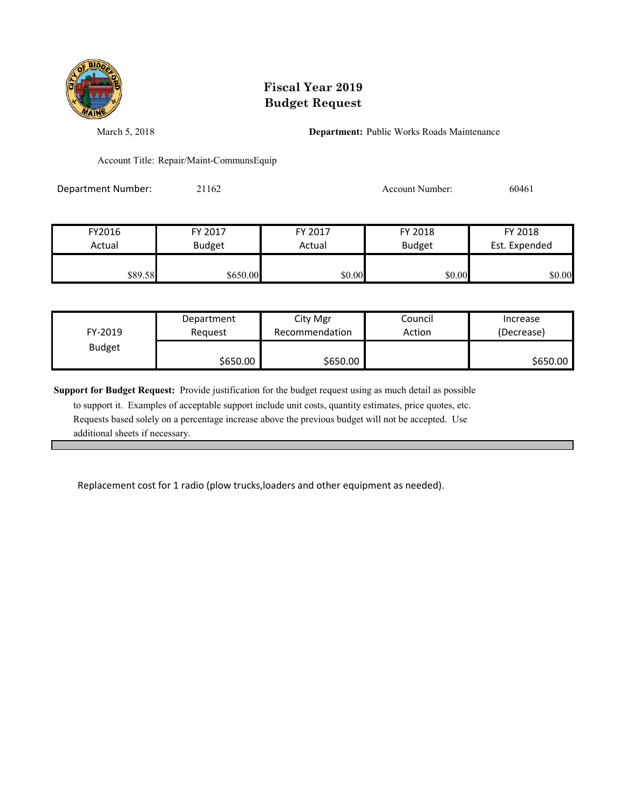

March 5, 2018 **Department:** Public Works Roads Maintenance

Account Title: Repair/Maint-CommunsEquip

Department Number: 21162 2016 2016 2016 Account Number: 60461

| FY2016  | FY 2017       | FY 2017 | FY 2018       | FY 2018       |
|---------|---------------|---------|---------------|---------------|
| Actual  | <b>Budget</b> | Actual  | <b>Budget</b> | Est. Expended |
|         |               |         |               |               |
| \$89.58 | \$650.00      | \$0.00  | \$0.00        | \$0.00        |

| FY-2019       | Department | City Mgr       | Council | Increase   |
|---------------|------------|----------------|---------|------------|
|               | Reauest    | Recommendation | Action  | (Decrease) |
| <b>Budget</b> | \$650.00   | \$650.00       |         | \$650.00   |

**Support for Budget Request:** Provide justification for the budget request using as much detail as possible

 to support it. Examples of acceptable support include unit costs, quantity estimates, price quotes, etc. Requests based solely on a percentage increase above the previous budget will not be accepted. Use additional sheets if necessary.

Replacement cost for 1 radio (plow trucks,loaders and other equipment as needed).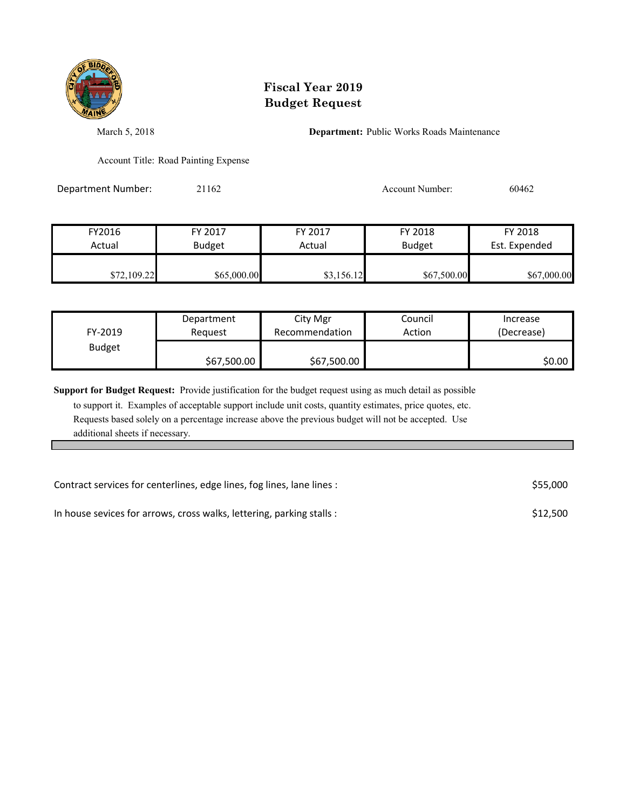

March 5, 2018 **Department:** Public Works Roads Maintenance

Account Title: Road Painting Expense

Department Number: 21162 2016 2016 2017 Account Number: 60462

| FY2016      | FY 2017       | FY 2017    | FY 2018       | FY 2018       |
|-------------|---------------|------------|---------------|---------------|
| Actual      | <b>Budget</b> | Actual     | <b>Budget</b> | Est. Expended |
|             |               |            |               |               |
| \$72,109.22 | \$65,000.00   | \$3,156.12 | \$67,500.00   | \$67,000.00   |

| FY-2019       | Department  | City Mgr       | Council | Increase   |
|---------------|-------------|----------------|---------|------------|
|               | Reauest     | Recommendation | Action  | (Decrease) |
| <b>Budget</b> | \$67,500.00 | \$67,500.00    |         | \$0.00     |

**Support for Budget Request:** Provide justification for the budget request using as much detail as possible

 to support it. Examples of acceptable support include unit costs, quantity estimates, price quotes, etc. Requests based solely on a percentage increase above the previous budget will not be accepted. Use additional sheets if necessary.

| Contract services for centerlines, edge lines, fog lines, lane lines : | \$55,000 |
|------------------------------------------------------------------------|----------|
| In house sevices for arrows, cross walks, lettering, parking stalls :  | \$12,500 |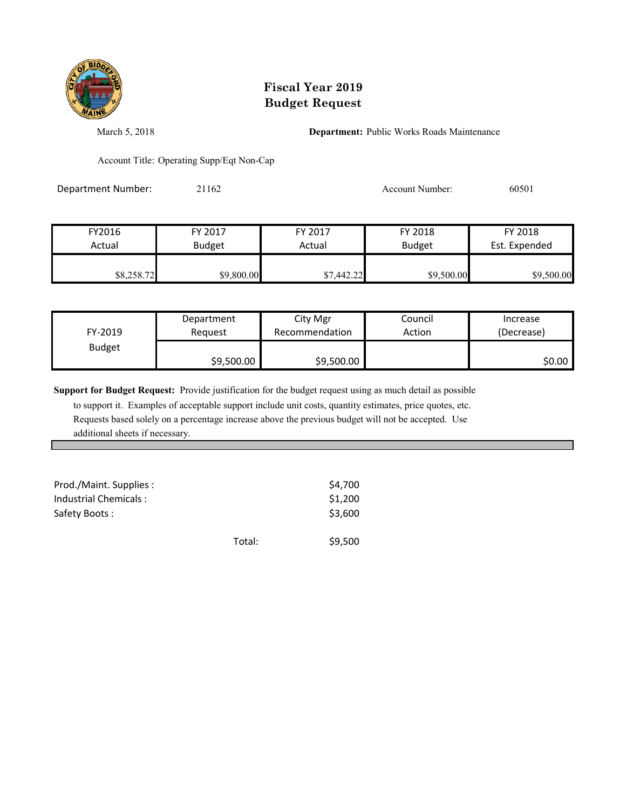

March 5, 2018 **Department:** Public Works Roads Maintenance

Account Title: Operating Supp/Eqt Non-Cap

Department Number: 21162 2016 2016 2020 Account Number: 60501

| FY2016<br>Actual | FY 2017       | FY 2017<br>Actual | FY 2018       | FY 2018       |
|------------------|---------------|-------------------|---------------|---------------|
|                  | <b>Budget</b> |                   | <b>Budget</b> | Est. Expended |
| \$8,258.72       | \$9,800.00    | \$7,442.22        | \$9,500.00    | \$9,500.00    |

| FY-2019       | Department | City Mgr       | Council | Increase   |
|---------------|------------|----------------|---------|------------|
|               | Request    | Recommendation | Action  | (Decrease) |
| <b>Budget</b> | \$9,500.00 | \$9,500.00     |         | \$0.00     |

**Support for Budget Request:** Provide justification for the budget request using as much detail as possible

 to support it. Examples of acceptable support include unit costs, quantity estimates, price quotes, etc. Requests based solely on a percentage increase above the previous budget will not be accepted. Use additional sheets if necessary.

| Prod./Maint. Supplies :<br>Industrial Chemicals:<br>Safety Boots: |        | \$4,700<br>\$1,200<br>\$3,600 |
|-------------------------------------------------------------------|--------|-------------------------------|
|                                                                   | Total: | \$9,500                       |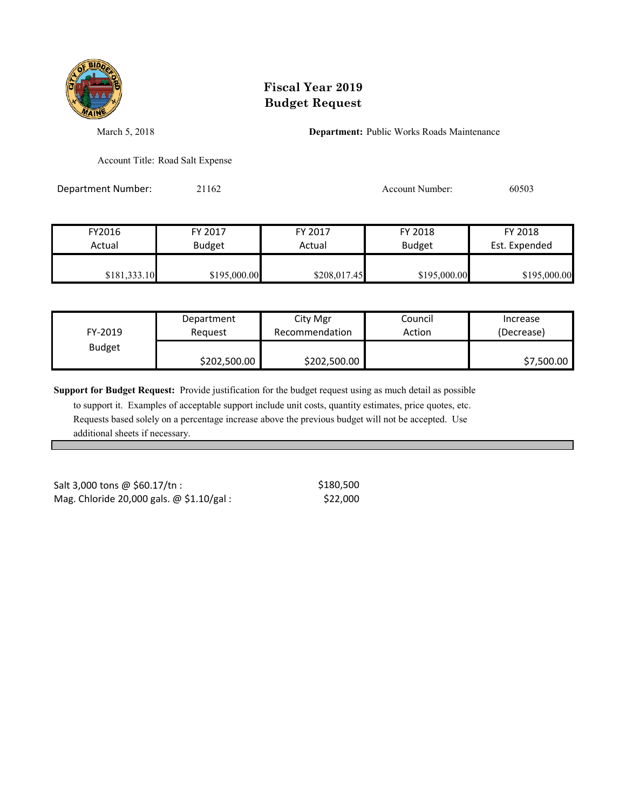

March 5, 2018 **Department:** Public Works Roads Maintenance

Account Title: Road Salt Expense

Department Number: 21162 Account Number: 60503

| FY2016       | FY 2017       | FY 2017      | FY 2018       | FY 2018       |
|--------------|---------------|--------------|---------------|---------------|
| Actual       | <b>Budget</b> | Actual       | <b>Budget</b> | Est. Expended |
|              |               |              |               |               |
| \$181,333.10 | \$195,000.00  | \$208,017.45 | \$195,000.00  | \$195,000.00  |

| FY-2019       | Department   | City Mgr       | Council | Increase   |
|---------------|--------------|----------------|---------|------------|
|               | Reauest      | Recommendation | Action  | (Decrease) |
| <b>Budget</b> | \$202,500.00 | \$202,500.00   |         | \$7,500.00 |

**Support for Budget Request:** Provide justification for the budget request using as much detail as possible

 to support it. Examples of acceptable support include unit costs, quantity estimates, price quotes, etc. Requests based solely on a percentage increase above the previous budget will not be accepted. Use additional sheets if necessary.

Mag. Chloride 20,000 gals.  $\omega$  \$1.10/gal : \$22,000 Salt 3,000 tons @ \$60.17/tn :

\$180,500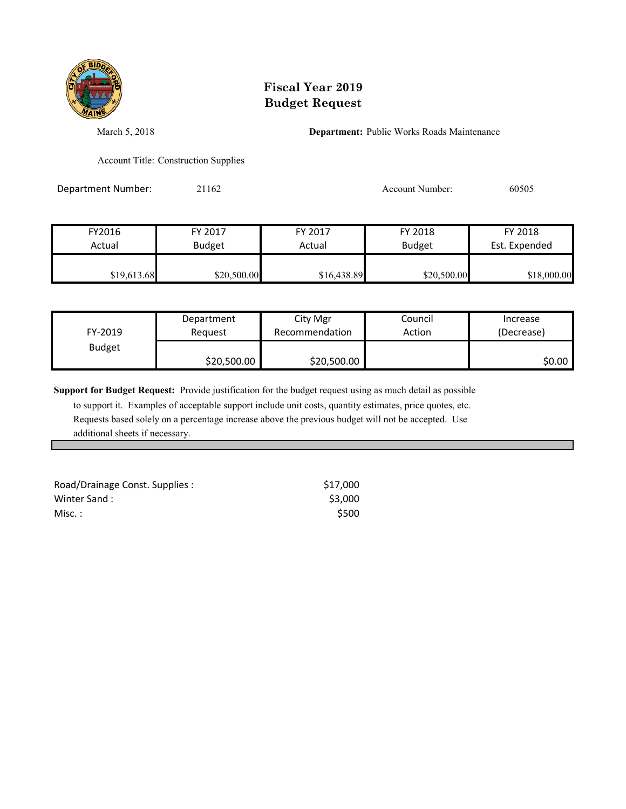

March 5, 2018 **Department:** Public Works Roads Maintenance

Account Title: Construction Supplies

Department Number: 21162 2016 2016 2017 Account Number: 60505

| FY2016      | FY 2017       | FY 2017     | FY 2018       | FY 2018       |
|-------------|---------------|-------------|---------------|---------------|
| Actual      | <b>Budget</b> | Actual      | <b>Budget</b> | Est. Expended |
|             |               |             |               |               |
| \$19,613.68 | \$20,500.00   | \$16,438.89 | \$20,500.00   | \$18,000.00   |

| FY-2019       | Department  | City Mgr       | Council | Increase   |
|---------------|-------------|----------------|---------|------------|
|               | Reauest     | Recommendation | Action  | (Decrease) |
| <b>Budget</b> | \$20,500.00 | \$20,500.00    |         | S0.00 I    |

**Support for Budget Request:** Provide justification for the budget request using as much detail as possible

 to support it. Examples of acceptable support include unit costs, quantity estimates, price quotes, etc. Requests based solely on a percentage increase above the previous budget will not be accepted. Use additional sheets if necessary.

| Road/Drainage Const. Supplies : | \$17.000 |
|---------------------------------|----------|
| Winter Sand:                    | \$3,000  |
| $Misc.$ :                       | \$500    |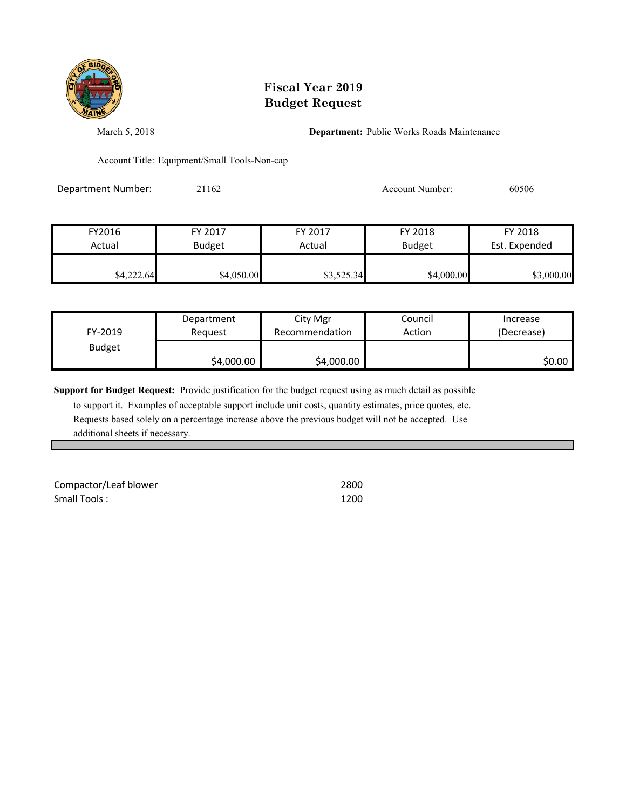

March 5, 2018 **Department:** Public Works Roads Maintenance

Account Title: Equipment/Small Tools-Non-cap

Department Number: 21162 2016 2016 2017 Account Number: 60506

| FY2016     | FY 2017       | FY 2017    | FY 2018       | FY 2018       |
|------------|---------------|------------|---------------|---------------|
| Actual     | <b>Budget</b> | Actual     | <b>Budget</b> | Est. Expended |
| \$4,222.64 | \$4,050.00    | \$3,525.34 | \$4,000.00    | \$3,000.00    |

| FY-2019       | Department | City Mgr       | Council | Increase   |
|---------------|------------|----------------|---------|------------|
|               | Reauest    | Recommendation | Action  | (Decrease) |
| <b>Budget</b> | \$4,000.00 | \$4,000.00     |         | \$0.00     |

**Support for Budget Request:** Provide justification for the budget request using as much detail as possible

 to support it. Examples of acceptable support include unit costs, quantity estimates, price quotes, etc. Requests based solely on a percentage increase above the previous budget will not be accepted. Use additional sheets if necessary.

Compactor/Leaf blower 2800 Small Tools : 1200